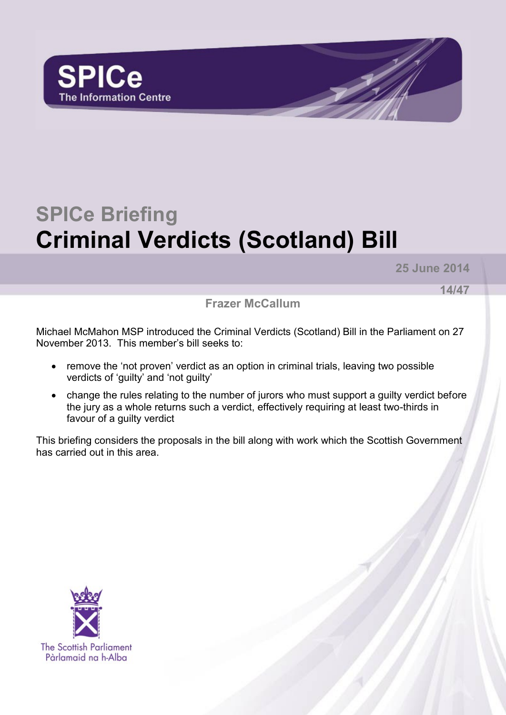

# **SPICe Briefing Criminal Verdicts (Scotland) Bill**

**25 June 2014**

**14/47**

**Frazer McCallum**

Michael McMahon MSP introduced the Criminal Verdicts (Scotland) Bill in the Parliament on 27 November 2013. This member"s bill seeks to:

- remove the 'not proven' verdict as an option in criminal trials, leaving two possible verdicts of 'quilty' and 'not quilty'
- change the rules relating to the number of jurors who must support a guilty verdict before the jury as a whole returns such a verdict, effectively requiring at least two-thirds in favour of a guilty verdict

This briefing considers the proposals in the bill along with work which the Scottish Government has carried out in this area.



The Scottish Parliament Pàrlamaid na h-Alba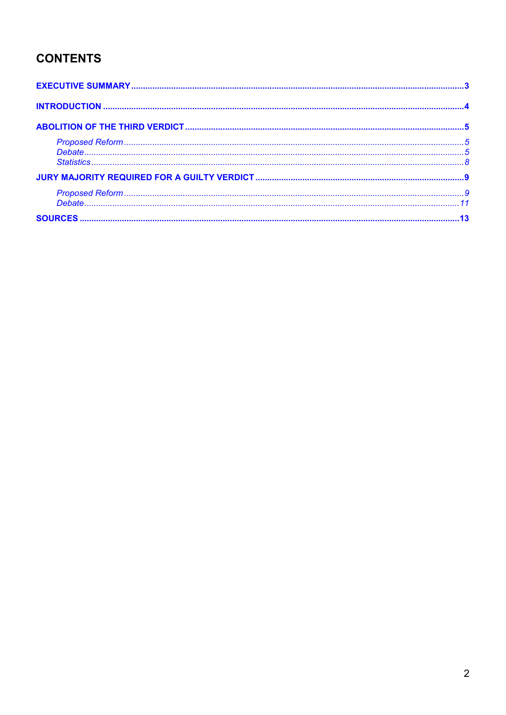## **CONTENTS**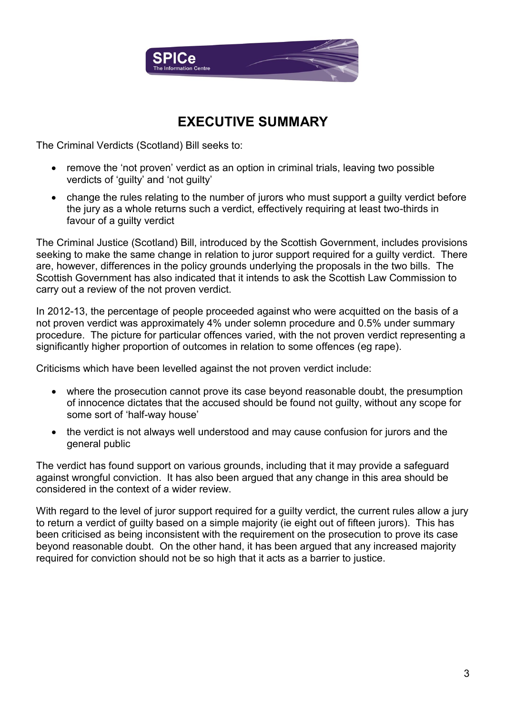

## **EXECUTIVE SUMMARY**

<span id="page-2-0"></span>The Criminal Verdicts (Scotland) Bill seeks to:

- remove the 'not proven' verdict as an option in criminal trials, leaving two possible verdicts of 'quilty' and 'not quilty'
- change the rules relating to the number of jurors who must support a guilty verdict before the jury as a whole returns such a verdict, effectively requiring at least two-thirds in favour of a guilty verdict

The Criminal Justice (Scotland) Bill, introduced by the Scottish Government, includes provisions seeking to make the same change in relation to juror support required for a guilty verdict. There are, however, differences in the policy grounds underlying the proposals in the two bills. The Scottish Government has also indicated that it intends to ask the Scottish Law Commission to carry out a review of the not proven verdict.

In 2012-13, the percentage of people proceeded against who were acquitted on the basis of a not proven verdict was approximately 4% under solemn procedure and 0.5% under summary procedure. The picture for particular offences varied, with the not proven verdict representing a significantly higher proportion of outcomes in relation to some offences (eg rape).

Criticisms which have been levelled against the not proven verdict include:

- where the prosecution cannot prove its case beyond reasonable doubt, the presumption of innocence dictates that the accused should be found not guilty, without any scope for some sort of 'half-way house'
- the verdict is not always well understood and may cause confusion for jurors and the general public

The verdict has found support on various grounds, including that it may provide a safeguard against wrongful conviction. It has also been argued that any change in this area should be considered in the context of a wider review.

With regard to the level of juror support required for a guilty verdict, the current rules allow a jury to return a verdict of guilty based on a simple majority (ie eight out of fifteen jurors). This has been criticised as being inconsistent with the requirement on the prosecution to prove its case beyond reasonable doubt. On the other hand, it has been argued that any increased majority required for conviction should not be so high that it acts as a barrier to justice.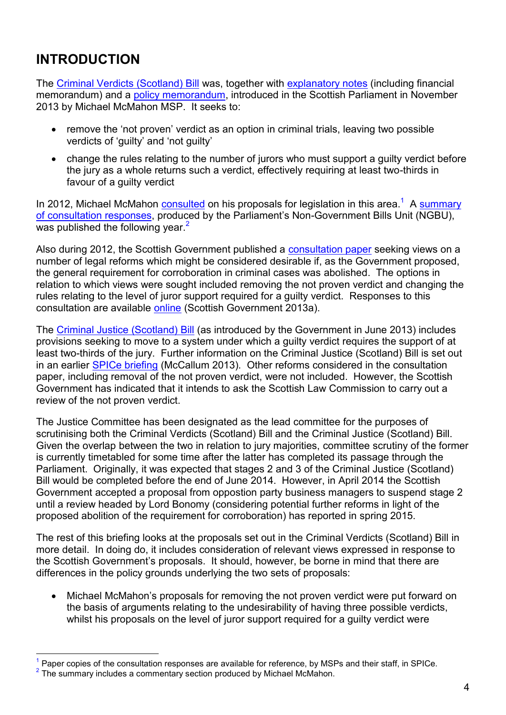## <span id="page-3-0"></span>**INTRODUCTION**

The [Criminal Verdicts \(Scotland\) Bill](http://www.scottish.parliament.uk/S4_Bills/Criminal%20Verdicts%20Bill/b42s4-introd.pdf.pdf) was, together with [explanatory notes](http://www.scottish.parliament.uk/S4_Bills/Criminal%20Verdicts%20Bill/b42s4-introd-en.pdf) (including financial memorandum) and a [policy memorandum,](http://www.scottish.parliament.uk/S4_Bills/Criminal%20Verdicts%20Bill/b42s4-introd-pm.pdf) introduced in the Scottish Parliament in November 2013 by Michael McMahon MSP. It seeks to:

- remove the "not proven" verdict as an option in criminal trials, leaving two possible verdicts of 'guilty' and 'not guilty'
- change the rules relating to the number of jurors who must support a guilty verdict before the jury as a whole returns such a verdict, effectively requiring at least two-thirds in favour of a quilty verdict

In 2012, Michael McMahon *consulted* on his proposals for legislation in this area.<sup>1</sup> A summary [of consultation responses,](http://www.scottish.parliament.uk/S4_MembersBills/Summary_of_responses_Criminal_verdicts_updated_Oct_13.pdf) produced by the Parliament"s Non-Government Bills Unit (NGBU), was published the following year.<sup>2</sup>

Also during 2012, the Scottish Government published a [consultation paper](http://www.scotland.gov.uk/Publications/2012/12/4628) seeking views on a number of legal reforms which might be considered desirable if, as the Government proposed, the general requirement for corroboration in criminal cases was abolished. The options in relation to which views were sought included removing the not proven verdict and changing the rules relating to the level of juror support required for a guilty verdict. Responses to this consultation are available **online** (Scottish Government 2013a).

The [Criminal Justice \(Scotland\) Bill](http://www.scottish.parliament.uk/S4_Bills/Criminal%20Justice%20(Scotland)%20Bill/b35s4-introd.pdf) (as introduced by the Government in June 2013) includes provisions seeking to move to a system under which a guilty verdict requires the support of at least two-thirds of the jury. Further information on the Criminal Justice (Scotland) Bill is set out in an earlier **SPICe briefing** (McCallum 2013). Other reforms considered in the consultation paper, including removal of the not proven verdict, were not included. However, the Scottish Government has indicated that it intends to ask the Scottish Law Commission to carry out a review of the not proven verdict.

The Justice Committee has been designated as the lead committee for the purposes of scrutinising both the Criminal Verdicts (Scotland) Bill and the Criminal Justice (Scotland) Bill. Given the overlap between the two in relation to jury majorities, committee scrutiny of the former is currently timetabled for some time after the latter has completed its passage through the Parliament. Originally, it was expected that stages 2 and 3 of the Criminal Justice (Scotland) Bill would be completed before the end of June 2014. However, in April 2014 the Scottish Government accepted a proposal from oppostion party business managers to suspend stage 2 until a review headed by Lord Bonomy (considering potential further reforms in light of the proposed abolition of the requirement for corroboration) has reported in spring 2015.

The rest of this briefing looks at the proposals set out in the Criminal Verdicts (Scotland) Bill in more detail. In doing do, it includes consideration of relevant views expressed in response to the Scottish Government"s proposals. It should, however, be borne in mind that there are differences in the policy grounds underlying the two sets of proposals:

 Michael McMahon"s proposals for removing the not proven verdict were put forward on the basis of arguments relating to the undesirability of having three possible verdicts, whilst his proposals on the level of juror support required for a guilty verdict were

 $\overline{a}$ 

<sup>1</sup> Paper copies of the consultation responses are available for reference, by MSPs and their staff, in SPICe.

 $2$  The summary includes a commentary section produced by Michael McMahon.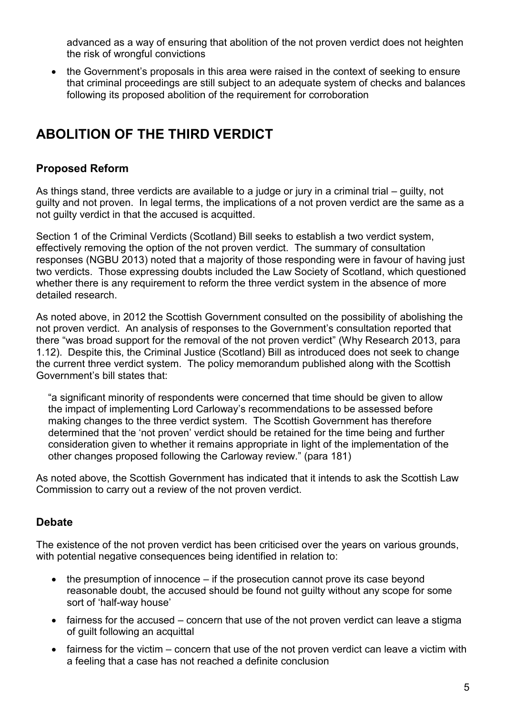advanced as a way of ensuring that abolition of the not proven verdict does not heighten the risk of wrongful convictions

• the Government's proposals in this area were raised in the context of seeking to ensure that criminal proceedings are still subject to an adequate system of checks and balances following its proposed abolition of the requirement for corroboration

## <span id="page-4-0"></span>**ABOLITION OF THE THIRD VERDICT**

#### <span id="page-4-1"></span>**Proposed Reform**

As things stand, three verdicts are available to a judge or jury in a criminal trial – guilty, not guilty and not proven. In legal terms, the implications of a not proven verdict are the same as a not guilty verdict in that the accused is acquitted.

Section 1 of the Criminal Verdicts (Scotland) Bill seeks to establish a two verdict system, effectively removing the option of the not proven verdict. The summary of consultation responses (NGBU 2013) noted that a majority of those responding were in favour of having just two verdicts. Those expressing doubts included the Law Society of Scotland, which questioned whether there is any requirement to reform the three verdict system in the absence of more detailed research.

As noted above, in 2012 the Scottish Government consulted on the possibility of abolishing the not proven verdict. An analysis of responses to the Government's consultation reported that there "was broad support for the removal of the not proven verdict" (Why Research 2013, para 1.12). Despite this, the Criminal Justice (Scotland) Bill as introduced does not seek to change the current three verdict system. The policy memorandum published along with the Scottish Government"s bill states that:

"a significant minority of respondents were concerned that time should be given to allow the impact of implementing Lord Carloway"s recommendations to be assessed before making changes to the three verdict system. The Scottish Government has therefore determined that the "not proven" verdict should be retained for the time being and further consideration given to whether it remains appropriate in light of the implementation of the other changes proposed following the Carloway review." (para 181)

As noted above, the Scottish Government has indicated that it intends to ask the Scottish Law Commission to carry out a review of the not proven verdict.

#### <span id="page-4-2"></span>**Debate**

The existence of the not proven verdict has been criticised over the years on various grounds, with potential negative consequences being identified in relation to:

- the presumption of innocence if the prosecution cannot prove its case beyond reasonable doubt, the accused should be found not guilty without any scope for some sort of 'half-way house'
- fairness for the accused concern that use of the not proven verdict can leave a stigma of guilt following an acquittal
- fairness for the victim concern that use of the not proven verdict can leave a victim with a feeling that a case has not reached a definite conclusion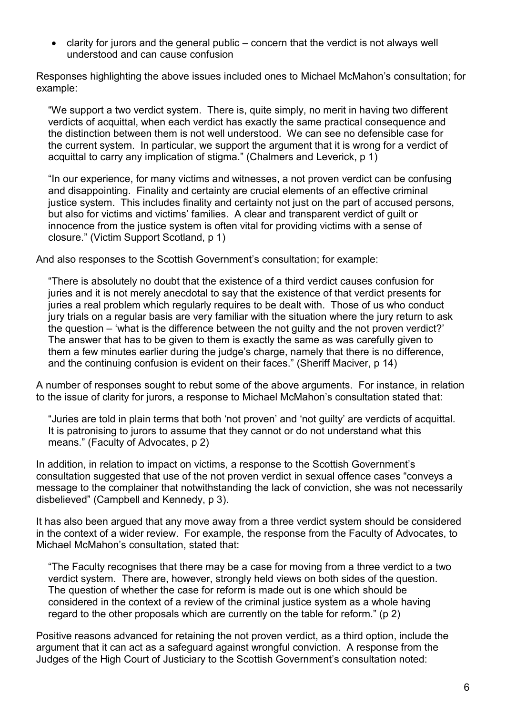clarity for jurors and the general public – concern that the verdict is not always well understood and can cause confusion

Responses highlighting the above issues included ones to Michael McMahon"s consultation; for example:

"We support a two verdict system. There is, quite simply, no merit in having two different verdicts of acquittal, when each verdict has exactly the same practical consequence and the distinction between them is not well understood. We can see no defensible case for the current system. In particular, we support the argument that it is wrong for a verdict of acquittal to carry any implication of stigma." (Chalmers and Leverick, p 1)

"In our experience, for many victims and witnesses, a not proven verdict can be confusing and disappointing. Finality and certainty are crucial elements of an effective criminal justice system. This includes finality and certainty not just on the part of accused persons, but also for victims and victims' families. A clear and transparent verdict of quilt or innocence from the justice system is often vital for providing victims with a sense of closure." (Victim Support Scotland, p 1)

And also responses to the Scottish Government's consultation; for example:

"There is absolutely no doubt that the existence of a third verdict causes confusion for juries and it is not merely anecdotal to say that the existence of that verdict presents for juries a real problem which regularly requires to be dealt with. Those of us who conduct jury trials on a regular basis are very familiar with the situation where the jury return to ask the question – "what is the difference between the not guilty and the not proven verdict?" The answer that has to be given to them is exactly the same as was carefully given to them a few minutes earlier during the judge"s charge, namely that there is no difference, and the continuing confusion is evident on their faces." (Sheriff Maciver, p 14)

A number of responses sought to rebut some of the above arguments. For instance, in relation to the issue of clarity for jurors, a response to Michael McMahon"s consultation stated that:

"Juries are told in plain terms that both "not proven" and "not guilty" are verdicts of acquittal. It is patronising to jurors to assume that they cannot or do not understand what this means." (Faculty of Advocates, p 2)

In addition, in relation to impact on victims, a response to the Scottish Government's consultation suggested that use of the not proven verdict in sexual offence cases "conveys a message to the complainer that notwithstanding the lack of conviction, she was not necessarily disbelieved" (Campbell and Kennedy, p 3).

It has also been argued that any move away from a three verdict system should be considered in the context of a wider review. For example, the response from the Faculty of Advocates, to Michael McMahon"s consultation, stated that:

"The Faculty recognises that there may be a case for moving from a three verdict to a two verdict system. There are, however, strongly held views on both sides of the question. The question of whether the case for reform is made out is one which should be considered in the context of a review of the criminal justice system as a whole having regard to the other proposals which are currently on the table for reform." (p 2)

Positive reasons advanced for retaining the not proven verdict, as a third option, include the argument that it can act as a safeguard against wrongful conviction. A response from the Judges of the High Court of Justiciary to the Scottish Government"s consultation noted: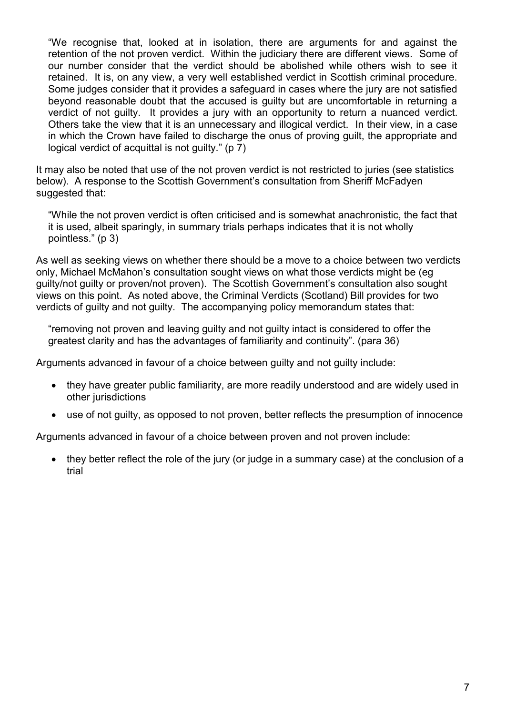"We recognise that, looked at in isolation, there are arguments for and against the retention of the not proven verdict. Within the judiciary there are different views. Some of our number consider that the verdict should be abolished while others wish to see it retained. It is, on any view, a very well established verdict in Scottish criminal procedure. Some judges consider that it provides a safeguard in cases where the jury are not satisfied beyond reasonable doubt that the accused is guilty but are uncomfortable in returning a verdict of not guilty. It provides a jury with an opportunity to return a nuanced verdict. Others take the view that it is an unnecessary and illogical verdict. In their view, in a case in which the Crown have failed to discharge the onus of proving guilt, the appropriate and logical verdict of acquittal is not quilty." ( $p \nabla$ )

It may also be noted that use of the not proven verdict is not restricted to juries (see statistics below). A response to the Scottish Government's consultation from Sheriff McFadyen suggested that:

"While the not proven verdict is often criticised and is somewhat anachronistic, the fact that it is used, albeit sparingly, in summary trials perhaps indicates that it is not wholly pointless." (p 3)

As well as seeking views on whether there should be a move to a choice between two verdicts only, Michael McMahon"s consultation sought views on what those verdicts might be (eg guilty/not guilty or proven/not proven). The Scottish Government"s consultation also sought views on this point. As noted above, the Criminal Verdicts (Scotland) Bill provides for two verdicts of guilty and not guilty. The accompanying policy memorandum states that:

"removing not proven and leaving guilty and not guilty intact is considered to offer the greatest clarity and has the advantages of familiarity and continuity". (para 36)

Arguments advanced in favour of a choice between guilty and not guilty include:

- they have greater public familiarity, are more readily understood and are widely used in other jurisdictions
- use of not guilty, as opposed to not proven, better reflects the presumption of innocence

Arguments advanced in favour of a choice between proven and not proven include:

<span id="page-6-0"></span>• they better reflect the role of the jury (or judge in a summary case) at the conclusion of a trial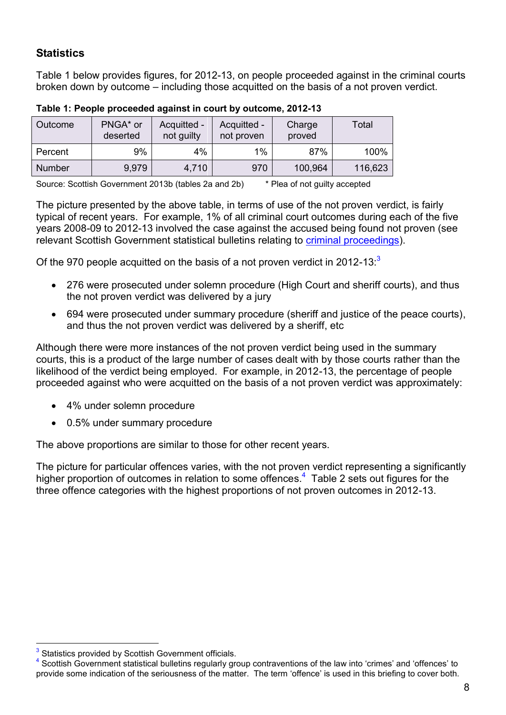#### **Statistics**

Table 1 below provides figures, for 2012-13, on people proceeded against in the criminal courts broken down by outcome – including those acquitted on the basis of a not proven verdict.

| Outcome       | PNGA* or<br>deserted | Acquitted -<br>not guilty | Acquitted -<br>not proven | Charge<br>proved | Total   |
|---------------|----------------------|---------------------------|---------------------------|------------------|---------|
| Percent       | 9%                   | 4%                        | 1%                        | 87%              | 100%    |
| <b>Number</b> | 9,979                | 4,710                     | 970                       | 100,964          | 116,623 |

**Table 1: People proceeded against in court by outcome, 2012-13**

Source: Scottish Government 2013b (tables 2a and 2b) \* Plea of not guilty accepted

The picture presented by the above table, in terms of use of the not proven verdict, is fairly typical of recent years. For example, 1% of all criminal court outcomes during each of the five years 2008-09 to 2012-13 involved the case against the accused being found not proven (see relevant Scottish Government statistical bulletins relating to [criminal proceedings\)](http://www.scotland.gov.uk/Topics/Statistics/Browse/Crime-Justice/PubCriminalProceedings).

Of the 970 people acquitted on the basis of a not proven verdict in 2012-13: $3$ 

- 276 were prosecuted under solemn procedure (High Court and sheriff courts), and thus the not proven verdict was delivered by a jury
- 694 were prosecuted under summary procedure (sheriff and justice of the peace courts), and thus the not proven verdict was delivered by a sheriff, etc

Although there were more instances of the not proven verdict being used in the summary courts, this is a product of the large number of cases dealt with by those courts rather than the likelihood of the verdict being employed. For example, in 2012-13, the percentage of people proceeded against who were acquitted on the basis of a not proven verdict was approximately:

- 4% under solemn procedure
- 0.5% under summary procedure

The above proportions are similar to those for other recent years.

The picture for particular offences varies, with the not proven verdict representing a significantly higher proportion of outcomes in relation to some offences.<sup>4</sup> Table 2 sets out figures for the three offence categories with the highest proportions of not proven outcomes in 2012-13.

 $\overline{a}$ 

<sup>&</sup>lt;sup>3</sup> Statistics provided by Scottish Government officials.

<sup>4</sup> Scottish Government statistical bulletins regularly group contraventions of the law into 'crimes' and 'offences' to provide some indication of the seriousness of the matter. The term "offence" is used in this briefing to cover both.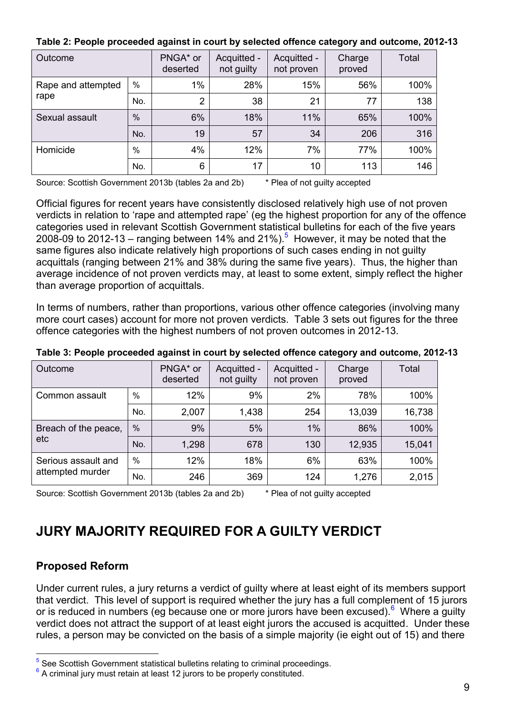| Table 2: People proceeded against in court by selected offence category and outcome, 2012-13 |  |  |
|----------------------------------------------------------------------------------------------|--|--|
|----------------------------------------------------------------------------------------------|--|--|

| Outcome                    |      | PNGA* or<br>deserted | Acquitted -<br>not guilty | Acquitted -<br>not proven | Charge<br>proved | Total |
|----------------------------|------|----------------------|---------------------------|---------------------------|------------------|-------|
| Rape and attempted<br>rape | %    | 1%                   | 28%                       | 15%                       | 56%              | 100%  |
|                            | No.  | $\overline{2}$       | 38                        | 21                        | 77               | 138   |
| Sexual assault             | $\%$ | 6%                   | 18%                       | 11%                       | 65%              | 100%  |
|                            | No.  | 19                   | 57                        | 34                        | 206              | 316   |
| Homicide                   | %    | 4%                   | 12%                       | 7%                        | 77%              | 100%  |
|                            | No.  | 6                    | 17                        | 10                        | 113              | 146   |

Source: Scottish Government 2013b (tables 2a and 2b) \* Plea of not guilty accepted

Official figures for recent years have consistently disclosed relatively high use of not proven verdicts in relation to "rape and attempted rape" (eg the highest proportion for any of the offence categories used in relevant Scottish Government statistical bulletins for each of the five years 2008-09 to 2012-13 – ranging between 14% and 21%).<sup>5</sup> However, it may be noted that the same figures also indicate relatively high proportions of such cases ending in not guilty acquittals (ranging between 21% and 38% during the same five years). Thus, the higher than average incidence of not proven verdicts may, at least to some extent, simply reflect the higher than average proportion of acquittals.

In terms of numbers, rather than proportions, various other offence categories (involving many more court cases) account for more not proven verdicts. Table 3 sets out figures for the three offence categories with the highest numbers of not proven outcomes in 2012-13.

| Outcome                                 |      | PNGA* or<br>deserted | Acquitted -<br>not guilty | Acquitted -<br>not proven | Charge<br>proved | Total  |
|-----------------------------------------|------|----------------------|---------------------------|---------------------------|------------------|--------|
| Common assault                          | $\%$ | 12%                  | 9%                        | 2%                        | 78%              | 100%   |
|                                         | No.  | 2,007                | 1,438                     | 254                       | 13,039           | 16,738 |
| Breach of the peace,<br>etc             | $\%$ | 9%                   | 5%                        | 1%                        | 86%              | 100%   |
|                                         | No.  | 1,298                | 678                       | 130                       | 12,935           | 15,041 |
| Serious assault and<br>attempted murder | $\%$ | 12%                  | 18%                       | 6%                        | 63%              | 100%   |
|                                         | No.  | 246                  | 369                       | 124                       | 1,276            | 2,015  |

**Table 3: People proceeded against in court by selected offence category and outcome, 2012-13**

Source: Scottish Government 2013b (tables 2a and 2b) \* Plea of not guilty accepted

## <span id="page-8-0"></span>**JURY MAJORITY REQUIRED FOR A GUILTY VERDICT**

### <span id="page-8-1"></span>**Proposed Reform**

Under current rules, a jury returns a verdict of guilty where at least eight of its members support that verdict. This level of support is required whether the jury has a full complement of 15 jurors or is reduced in numbers (eg because one or more jurors have been excused).<sup>6</sup> Where a guilty verdict does not attract the support of at least eight jurors the accused is acquitted. Under these rules, a person may be convicted on the basis of a simple majority (ie eight out of 15) and there

 $\overline{a}$ <sup>5</sup> See Scottish Government statistical bulletins relating to criminal proceedings.

 $6$  A criminal jury must retain at least 12 jurors to be properly constituted.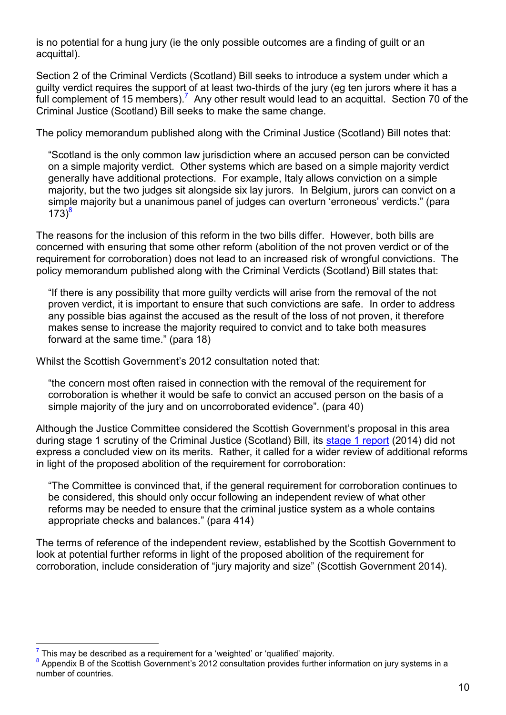is no potential for a hung jury (ie the only possible outcomes are a finding of guilt or an acquittal).

Section 2 of the Criminal Verdicts (Scotland) Bill seeks to introduce a system under which a guilty verdict requires the support of at least two-thirds of the jury (eg ten jurors where it has a full complement of 15 members).<sup>7</sup> Any other result would lead to an acquittal. Section 70 of the Criminal Justice (Scotland) Bill seeks to make the same change.

The policy memorandum published along with the Criminal Justice (Scotland) Bill notes that:

"Scotland is the only common law jurisdiction where an accused person can be convicted on a simple majority verdict. Other systems which are based on a simple majority verdict generally have additional protections. For example, Italy allows conviction on a simple majority, but the two judges sit alongside six lay jurors. In Belgium, jurors can convict on a simple majority but a unanimous panel of judges can overturn "erroneous" verdicts." (para  $(173)^{8}$ 

The reasons for the inclusion of this reform in the two bills differ. However, both bills are concerned with ensuring that some other reform (abolition of the not proven verdict or of the requirement for corroboration) does not lead to an increased risk of wrongful convictions. The policy memorandum published along with the Criminal Verdicts (Scotland) Bill states that:

"If there is any possibility that more guilty verdicts will arise from the removal of the not proven verdict, it is important to ensure that such convictions are safe. In order to address any possible bias against the accused as the result of the loss of not proven, it therefore makes sense to increase the majority required to convict and to take both measures forward at the same time." (para 18)

Whilst the Scottish Government's 2012 consultation noted that:

"the concern most often raised in connection with the removal of the requirement for corroboration is whether it would be safe to convict an accused person on the basis of a simple majority of the jury and on uncorroborated evidence". (para 40)

Although the Justice Committee considered the Scottish Government"s proposal in this area during stage 1 scrutiny of the Criminal Justice (Scotland) Bill, its [stage 1 report](http://www.scottish.parliament.uk/parliamentarybusiness/CurrentCommittees/72893.aspx) (2014) did not express a concluded view on its merits. Rather, it called for a wider review of additional reforms in light of the proposed abolition of the requirement for corroboration:

"The Committee is convinced that, if the general requirement for corroboration continues to be considered, this should only occur following an independent review of what other reforms may be needed to ensure that the criminal justice system as a whole contains appropriate checks and balances." (para 414)

<span id="page-9-0"></span>The terms of reference of the independent review, established by the Scottish Government to look at potential further reforms in light of the proposed abolition of the requirement for corroboration, include consideration of "jury majority and size" (Scottish Government 2014).

 $\overline{a}$ 

 $^7$  This may be described as a requirement for a 'weighted' or 'qualified' majority.

<sup>&</sup>lt;sup>8</sup> Appendix B of the Scottish Government's 2012 consultation provides further information on jury systems in a number of countries.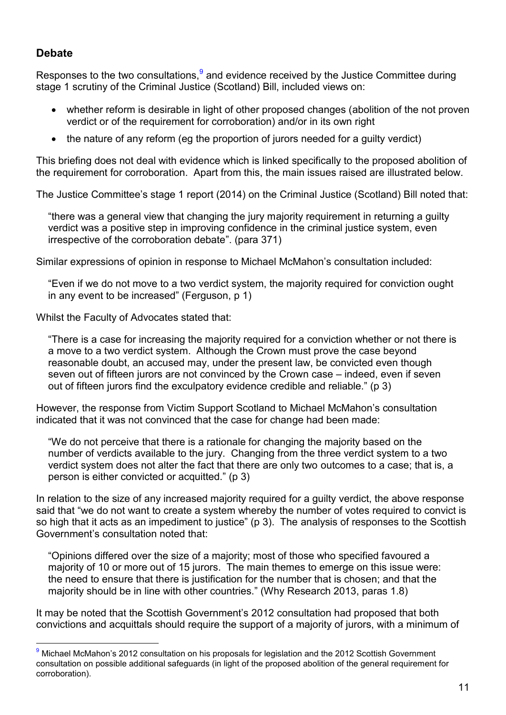#### **Debate**

 $\overline{a}$ 

Responses to the two consultations,<sup>9</sup> and evidence received by the Justice Committee during stage 1 scrutiny of the Criminal Justice (Scotland) Bill, included views on:

- whether reform is desirable in light of other proposed changes (abolition of the not proven verdict or of the requirement for corroboration) and/or in its own right
- the nature of any reform (eg the proportion of jurors needed for a guilty verdict)

This briefing does not deal with evidence which is linked specifically to the proposed abolition of the requirement for corroboration. Apart from this, the main issues raised are illustrated below.

The Justice Committee"s stage 1 report (2014) on the Criminal Justice (Scotland) Bill noted that:

"there was a general view that changing the jury majority requirement in returning a guilty verdict was a positive step in improving confidence in the criminal justice system, even irrespective of the corroboration debate". (para 371)

Similar expressions of opinion in response to Michael McMahon"s consultation included:

"Even if we do not move to a two verdict system, the majority required for conviction ought in any event to be increased" (Ferguson, p 1)

Whilst the Faculty of Advocates stated that:

"There is a case for increasing the majority required for a conviction whether or not there is a move to a two verdict system. Although the Crown must prove the case beyond reasonable doubt, an accused may, under the present law, be convicted even though seven out of fifteen jurors are not convinced by the Crown case – indeed, even if seven out of fifteen jurors find the exculpatory evidence credible and reliable." (p 3)

However, the response from Victim Support Scotland to Michael McMahon"s consultation indicated that it was not convinced that the case for change had been made:

"We do not perceive that there is a rationale for changing the majority based on the number of verdicts available to the jury. Changing from the three verdict system to a two verdict system does not alter the fact that there are only two outcomes to a case; that is, a person is either convicted or acquitted." (p 3)

In relation to the size of any increased majority required for a guilty verdict, the above response said that "we do not want to create a system whereby the number of votes required to convict is so high that it acts as an impediment to justice" (p 3). The analysis of responses to the Scottish Government"s consultation noted that:

"Opinions differed over the size of a majority; most of those who specified favoured a majority of 10 or more out of 15 jurors. The main themes to emerge on this issue were: the need to ensure that there is justification for the number that is chosen; and that the majority should be in line with other countries." (Why Research 2013, paras 1.8)

It may be noted that the Scottish Government's 2012 consultation had proposed that both convictions and acquittals should require the support of a majority of jurors, with a minimum of

<sup>&</sup>lt;sup>9</sup> Michael McMahon's 2012 consultation on his proposals for legislation and the 2012 Scottish Government consultation on possible additional safeguards (in light of the proposed abolition of the general requirement for corroboration).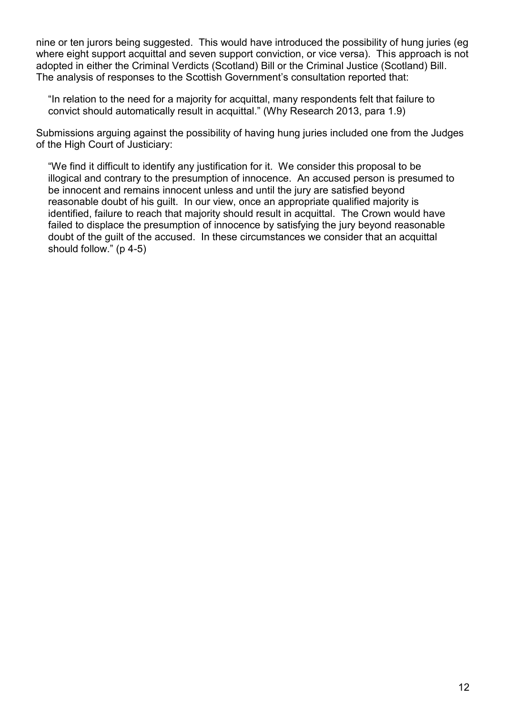nine or ten jurors being suggested. This would have introduced the possibility of hung juries (eg where eight support acquittal and seven support conviction, or vice versa). This approach is not adopted in either the Criminal Verdicts (Scotland) Bill or the Criminal Justice (Scotland) Bill. The analysis of responses to the Scottish Government's consultation reported that:

"In relation to the need for a majority for acquittal, many respondents felt that failure to convict should automatically result in acquittal." (Why Research 2013, para 1.9)

Submissions arguing against the possibility of having hung juries included one from the Judges of the High Court of Justiciary:

<span id="page-11-0"></span>"We find it difficult to identify any justification for it. We consider this proposal to be illogical and contrary to the presumption of innocence. An accused person is presumed to be innocent and remains innocent unless and until the jury are satisfied beyond reasonable doubt of his guilt. In our view, once an appropriate qualified majority is identified, failure to reach that majority should result in acquittal. The Crown would have failed to displace the presumption of innocence by satisfying the jury beyond reasonable doubt of the guilt of the accused. In these circumstances we consider that an acquittal should follow." (p 4-5)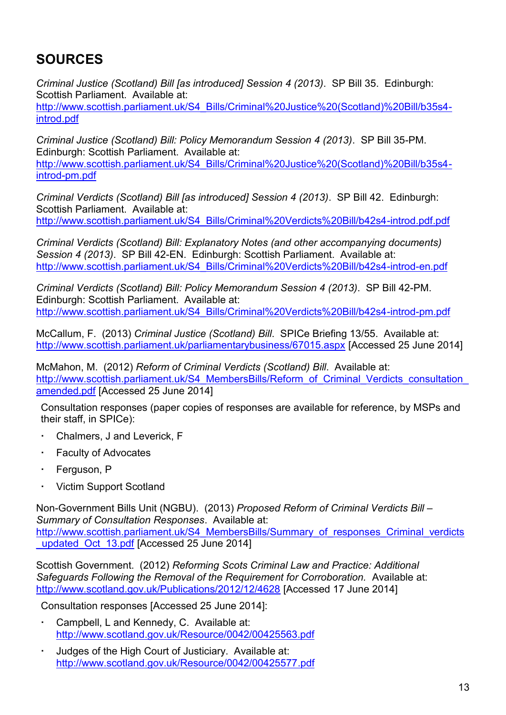## **SOURCES**

*Criminal Justice (Scotland) Bill [as introduced] Session 4 (2013)*. SP Bill 35. Edinburgh: Scottish Parliament. Available at:

[http://www.scottish.parliament.uk/S4\\_Bills/Criminal%20Justice%20\(Scotland\)%20Bill/b35s4](http://www.scottish.parliament.uk/S4_Bills/Criminal%20Justice%20(Scotland)%20Bill/b35s4-introd.pdf) [introd.pdf](http://www.scottish.parliament.uk/S4_Bills/Criminal%20Justice%20(Scotland)%20Bill/b35s4-introd.pdf)

*Criminal Justice (Scotland) Bill: Policy Memorandum Session 4 (2013)*. SP Bill 35-PM. Edinburgh: Scottish Parliament. Available at: [http://www.scottish.parliament.uk/S4\\_Bills/Criminal%20Justice%20\(Scotland\)%20Bill/b35s4-](http://www.scottish.parliament.uk/S4_Bills/Criminal%20Justice%20(Scotland)%20Bill/b35s4-introd-pm.pdf)

[introd-pm.pdf](http://www.scottish.parliament.uk/S4_Bills/Criminal%20Justice%20(Scotland)%20Bill/b35s4-introd-pm.pdf)

*Criminal Verdicts (Scotland) Bill [as introduced] Session 4 (2013)*. SP Bill 42. Edinburgh: Scottish Parliament. Available at:

[http://www.scottish.parliament.uk/S4\\_Bills/Criminal%20Verdicts%20Bill/b42s4-introd.pdf.pdf](http://www.scottish.parliament.uk/S4_Bills/Criminal%20Verdicts%20Bill/b42s4-introd.pdf.pdf)

*Criminal Verdicts (Scotland) Bill: Explanatory Notes (and other accompanying documents) Session 4 (2013)*. SP Bill 42-EN. Edinburgh: Scottish Parliament. Available at: [http://www.scottish.parliament.uk/S4\\_Bills/Criminal%20Verdicts%20Bill/b42s4-introd-en.pdf](http://www.scottish.parliament.uk/S4_Bills/Criminal%20Verdicts%20Bill/b42s4-introd-en.pdf)

*Criminal Verdicts (Scotland) Bill: Policy Memorandum Session 4 (2013)*. SP Bill 42-PM. Edinburgh: Scottish Parliament. Available at: [http://www.scottish.parliament.uk/S4\\_Bills/Criminal%20Verdicts%20Bill/b42s4-introd-pm.pdf](http://www.scottish.parliament.uk/S4_Bills/Criminal%20Verdicts%20Bill/b42s4-introd-pm.pdf)

McCallum, F. (2013) *Criminal Justice (Scotland) Bill*. SPICe Briefing 13/55. Available at: <http://www.scottish.parliament.uk/parliamentarybusiness/67015.aspx> [Accessed 25 June 2014]

McMahon, M. (2012) *Reform of Criminal Verdicts (Scotland) Bill*. Available at: [http://www.scottish.parliament.uk/S4\\_MembersBills/Reform\\_of\\_Criminal\\_Verdicts\\_consultation\\_](http://www.scottish.parliament.uk/S4_MembersBills/Reform_of_Criminal_Verdicts_consultation_amended.pdf) [amended.pdf](http://www.scottish.parliament.uk/S4_MembersBills/Reform_of_Criminal_Verdicts_consultation_amended.pdf) [Accessed 25 June 2014]

Consultation responses (paper copies of responses are available for reference, by MSPs and their staff, in SPICe):

- Chalmers, J and Leverick, F
- Faculty of Advocates
- Ferguson, P
- Victim Support Scotland

Non-Government Bills Unit (NGBU). (2013) *Proposed Reform of Criminal Verdicts Bill – Summary of Consultation Responses*. Available at: [http://www.scottish.parliament.uk/S4\\_MembersBills/Summary\\_of\\_responses\\_Criminal\\_verdicts](http://www.scottish.parliament.uk/S4_MembersBills/Summary_of_responses_Criminal_verdicts_updated_Oct_13.pdf) updated Oct 13.pdf [Accessed 25 June 2014]

Scottish Government. (2012) *Reforming Scots Criminal Law and Practice: Additional Safeguards Following the Removal of the Requirement for Corroboration.* Available at: <http://www.scotland.gov.uk/Publications/2012/12/4628> [Accessed 17 June 2014]

Consultation responses [Accessed 25 June 2014]:

- Campbell, L and Kennedy, C. Available at: <http://www.scotland.gov.uk/Resource/0042/00425563.pdf>
- Judges of the High Court of Justiciary. Available at: <http://www.scotland.gov.uk/Resource/0042/00425577.pdf>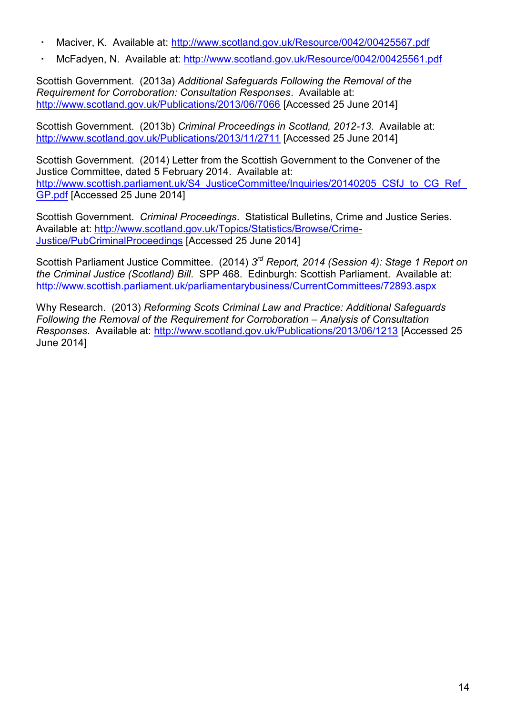- Maciver, K. Available at: <http://www.scotland.gov.uk/Resource/0042/00425567.pdf>
- McFadyen, N. Available at: <http://www.scotland.gov.uk/Resource/0042/00425561.pdf>

Scottish Government. (2013a) *Additional Safeguards Following the Removal of the Requirement for Corroboration: Consultation Responses*. Available at: <http://www.scotland.gov.uk/Publications/2013/06/7066> [Accessed 25 June 2014]

Scottish Government. (2013b) *Criminal Proceedings in Scotland, 2012-13*. Available at: <http://www.scotland.gov.uk/Publications/2013/11/2711> [Accessed 25 June 2014]

Scottish Government. (2014) Letter from the Scottish Government to the Convener of the Justice Committee, dated 5 February 2014. Available at: http://www.scottish.parliament.uk/S4\_JusticeCommittee/Inquiries/20140205\_CSfJ\_to\_CG\_Ref [GP.pdf](http://www.scottish.parliament.uk/S4_JusticeCommittee/Inquiries/20140205_CSfJ_to_CG_Ref_GP.pdf) [Accessed 25 June 2014]

Scottish Government. *Criminal Proceedings*. Statistical Bulletins, Crime and Justice Series. Available at: [http://www.scotland.gov.uk/Topics/Statistics/Browse/Crime-](http://www.scotland.gov.uk/Topics/Statistics/Browse/Crime-Justice/PubCriminalProceedings)[Justice/PubCriminalProceedings](http://www.scotland.gov.uk/Topics/Statistics/Browse/Crime-Justice/PubCriminalProceedings) [Accessed 25 June 2014]

Scottish Parliament Justice Committee. (2014) 3<sup>rd</sup> Report, 2014 (Session 4): Stage 1 Report on *the Criminal Justice (Scotland) Bill*. SPP 468. Edinburgh: Scottish Parliament. Available at: <http://www.scottish.parliament.uk/parliamentarybusiness/CurrentCommittees/72893.aspx>

Why Research. (2013) *Reforming Scots Criminal Law and Practice: Additional Safeguards Following the Removal of the Requirement for Corroboration – Analysis of Consultation Responses*. Available at: <http://www.scotland.gov.uk/Publications/2013/06/1213> [Accessed 25 June 2014]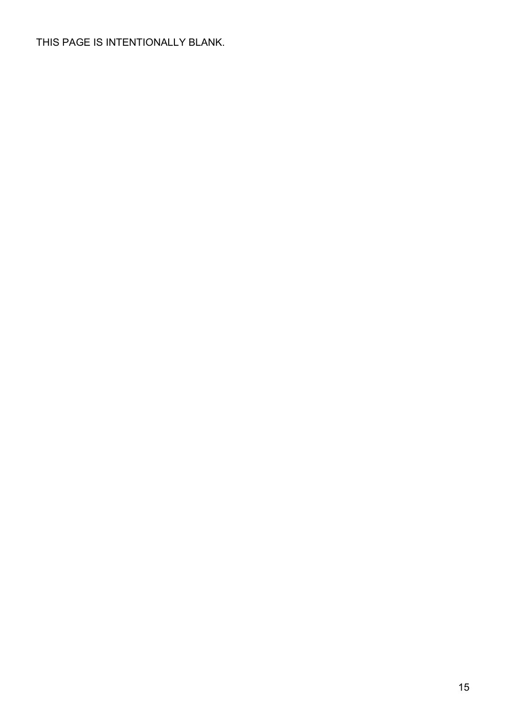THIS PAGE IS INTENTIONALLY BLANK.